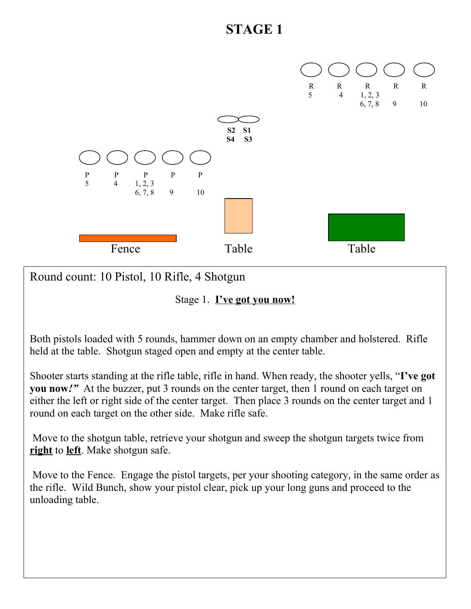

Round count: 10 Pistol, 10 Rifle, 4 Shotgun

Stage 1. **I've got you now!**

Both pistols loaded with 5 rounds, hammer down on an empty chamber and holstered. Rifle held at the table. Shotgun staged open and empty at the center table.

Shooter starts standing at the rifle table, rifle in hand. When ready, the shooter yells, "**I've got you now***!"* At the buzzer, put 3 rounds on the center target, then 1 round on each target on either the left or right side of the center target. Then place 3 rounds on the center target and 1 round on each target on the other side. Make rifle safe.

 Move to the shotgun table, retrieve your shotgun and sweep the shotgun targets twice from **right** to **left**. Make shotgun safe.

 Move to the Fence. Engage the pistol targets, per your shooting category, in the same order as the rifle. Wild Bunch, show your pistol clear, pick up your long guns and proceed to the unloading table.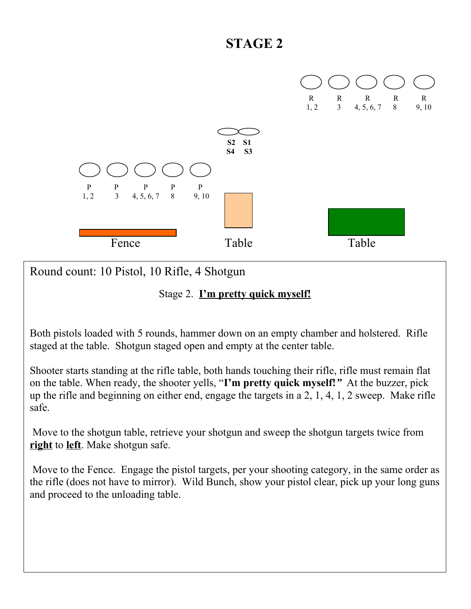

Round count: 10 Pistol, 10 Rifle, 4 Shotgun

#### Stage 2. **I'm pretty quick myself!**

Both pistols loaded with 5 rounds, hammer down on an empty chamber and holstered. Rifle staged at the table. Shotgun staged open and empty at the center table.

Shooter starts standing at the rifle table, both hands touching their rifle, rifle must remain flat on the table. When ready, the shooter yells, "**I'm pretty quick myself!***"* At the buzzer, pick up the rifle and beginning on either end, engage the targets in a 2, 1, 4, 1, 2 sweep. Make rifle safe.

 Move to the shotgun table, retrieve your shotgun and sweep the shotgun targets twice from **right** to **left**. Make shotgun safe.

 Move to the Fence. Engage the pistol targets, per your shooting category, in the same order as the rifle (does not have to mirror). Wild Bunch, show your pistol clear, pick up your long guns and proceed to the unloading table.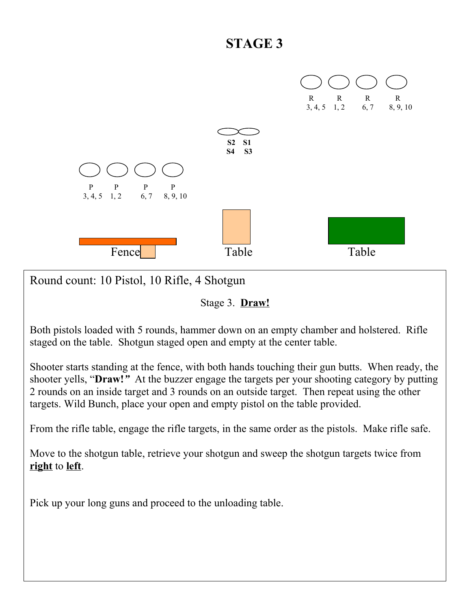

Round count: 10 Pistol, 10 Rifle, 4 Shotgun

Stage 3. **Draw!**

Both pistols loaded with 5 rounds, hammer down on an empty chamber and holstered. Rifle staged on the table. Shotgun staged open and empty at the center table.

Shooter starts standing at the fence, with both hands touching their gun butts. When ready, the shooter yells, "**Draw!***"* At the buzzer engage the targets per your shooting category by putting 2 rounds on an inside target and 3 rounds on an outside target. Then repeat using the other targets. Wild Bunch, place your open and empty pistol on the table provided.

From the rifle table, engage the rifle targets, in the same order as the pistols. Make rifle safe.

Move to the shotgun table, retrieve your shotgun and sweep the shotgun targets twice from **right** to **left**.

Pick up your long guns and proceed to the unloading table.